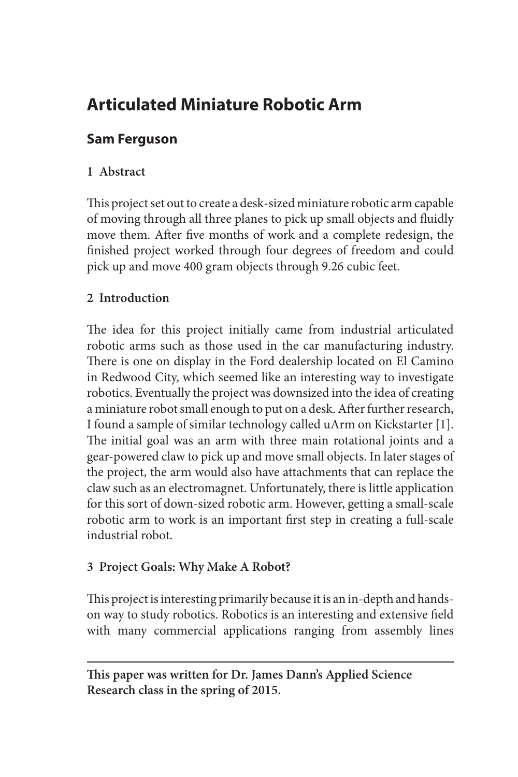# **Articulated Miniature Robotic Arm**

# **Sam Ferguson**

# **1 Abstract**

This project set out to create a desk-sized miniature robotic arm capable of moving through all three planes to pick up small objects and fluidly move them. After five months of work and a complete redesign, the finished project worked through four degrees of freedom and could pick up and move 400 gram objects through 9.26 cubic feet.

# **2 Introduction**

The idea for this project initially came from industrial articulated robotic arms such as those used in the car manufacturing industry. There is one on display in the Ford dealership located on El Camino in Redwood City, which seemed like an interesting way to investigate robotics. Eventually the project was downsized into the idea of creating a miniature robot small enough to put on a desk. After further research, I found a sample of similar technology called uArm on Kickstarter [1]. The initial goal was an arm with three main rotational joints and a gear-powered claw to pick up and move small objects. In later stages of the project, the arm would also have attachments that can replace the claw such as an electromagnet. Unfortunately, there is little application for this sort of down-sized robotic arm. However, getting a small-scale robotic arm to work is an important first step in creating a full-scale industrial robot.

## **3 Project Goals: Why Make A Robot?**

This project is interesting primarily because it is an in-depth and handson way to study robotics. Robotics is an interesting and extensive field with many commercial applications ranging from assembly lines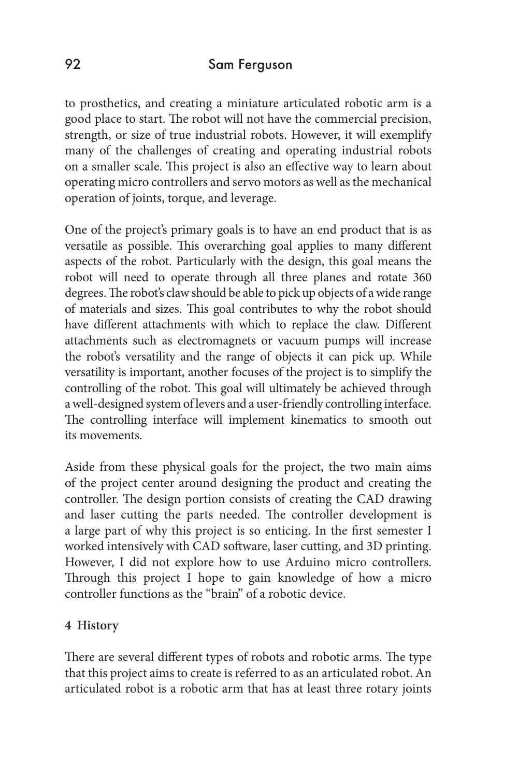to prosthetics, and creating a miniature articulated robotic arm is a good place to start. The robot will not have the commercial precision, strength, or size of true industrial robots. However, it will exemplify many of the challenges of creating and operating industrial robots on a smaller scale. This project is also an effective way to learn about operating micro controllers and servo motors as well as the mechanical operation of joints, torque, and leverage.

One of the project's primary goals is to have an end product that is as versatile as possible. This overarching goal applies to many different aspects of the robot. Particularly with the design, this goal means the robot will need to operate through all three planes and rotate 360 degrees. The robot's claw should be able to pick up objects of a wide range of materials and sizes. This goal contributes to why the robot should have different attachments with which to replace the claw. Different attachments such as electromagnets or vacuum pumps will increase the robot's versatility and the range of objects it can pick up. While versatility is important, another focuses of the project is to simplify the controlling of the robot. This goal will ultimately be achieved through a well-designed system of levers and a user-friendly controlling interface. The controlling interface will implement kinematics to smooth out its movements.

Aside from these physical goals for the project, the two main aims of the project center around designing the product and creating the controller. The design portion consists of creating the CAD drawing and laser cutting the parts needed. The controller development is a large part of why this project is so enticing. In the first semester I worked intensively with CAD software, laser cutting, and 3D printing. However, I did not explore how to use Arduino micro controllers. Through this project I hope to gain knowledge of how a micro controller functions as the "brain" of a robotic device.

#### **4 History**

There are several different types of robots and robotic arms. The type that this project aims to create is referred to as an articulated robot. An articulated robot is a robotic arm that has at least three rotary joints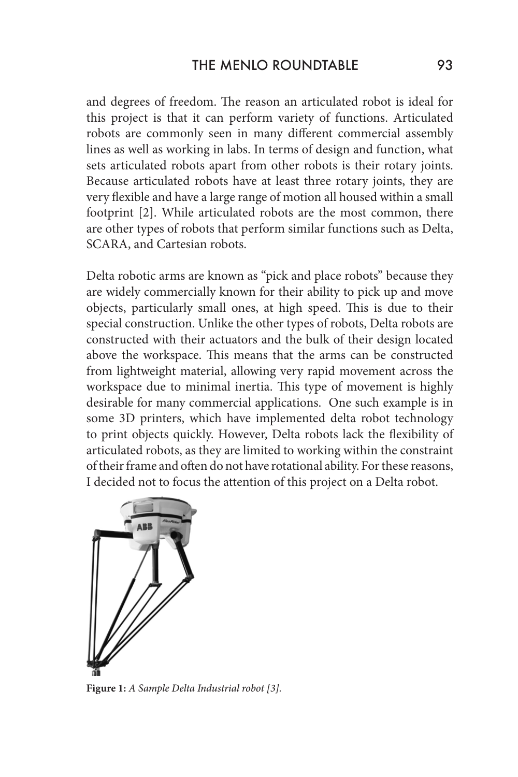and degrees of freedom. The reason an articulated robot is ideal for this project is that it can perform variety of functions. Articulated robots are commonly seen in many different commercial assembly lines as well as working in labs. In terms of design and function, what sets articulated robots apart from other robots is their rotary joints. Because articulated robots have at least three rotary joints, they are very flexible and have a large range of motion all housed within a small footprint [2]. While articulated robots are the most common, there are other types of robots that perform similar functions such as Delta, SCARA, and Cartesian robots.

Delta robotic arms are known as "pick and place robots" because they are widely commercially known for their ability to pick up and move objects, particularly small ones, at high speed. This is due to their special construction. Unlike the other types of robots, Delta robots are constructed with their actuators and the bulk of their design located above the workspace. This means that the arms can be constructed from lightweight material, allowing very rapid movement across the workspace due to minimal inertia. This type of movement is highly desirable for many commercial applications. One such example is in some 3D printers, which have implemented delta robot technology to print objects quickly. However, Delta robots lack the flexibility of articulated robots, as they are limited to working within the constraint of their frame and often do not have rotational ability. For these reasons, I decided not to focus the attention of this project on a Delta robot.



**Figure 1:** *A Sample Delta Industrial robot [3].*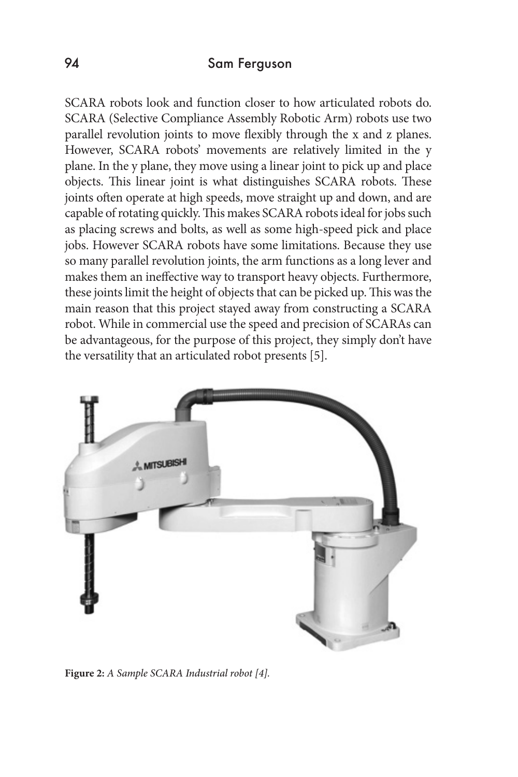SCARA robots look and function closer to how articulated robots do. SCARA (Selective Compliance Assembly Robotic Arm) robots use two parallel revolution joints to move flexibly through the x and z planes. However, SCARA robots' movements are relatively limited in the y plane. In the y plane, they move using a linear joint to pick up and place objects. This linear joint is what distinguishes SCARA robots. These joints often operate at high speeds, move straight up and down, and are capable of rotating quickly. This makes SCARA robots ideal for jobs such as placing screws and bolts, as well as some high-speed pick and place jobs. However SCARA robots have some limitations. Because they use so many parallel revolution joints, the arm functions as a long lever and makes them an ineffective way to transport heavy objects. Furthermore, these joints limit the height of objects that can be picked up. This was the main reason that this project stayed away from constructing a SCARA robot. While in commercial use the speed and precision of SCARAs can be advantageous, for the purpose of this project, they simply don't have the versatility that an articulated robot presents [5].



**Figure 2:** *A Sample SCARA Industrial robot [4].*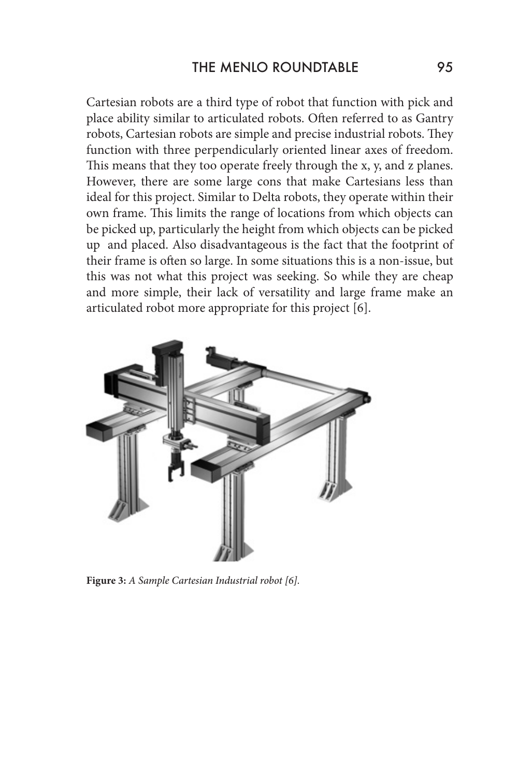Cartesian robots are a third type of robot that function with pick and place ability similar to articulated robots. Often referred to as Gantry robots, Cartesian robots are simple and precise industrial robots. They function with three perpendicularly oriented linear axes of freedom. This means that they too operate freely through the x, y, and z planes. However, there are some large cons that make Cartesians less than ideal for this project. Similar to Delta robots, they operate within their own frame. This limits the range of locations from which objects can be picked up, particularly the height from which objects can be picked up and placed. Also disadvantageous is the fact that the footprint of their frame is often so large. In some situations this is a non-issue, but this was not what this project was seeking. So while they are cheap and more simple, their lack of versatility and large frame make an articulated robot more appropriate for this project [6].



**Figure 3:** *A Sample Cartesian Industrial robot [6].*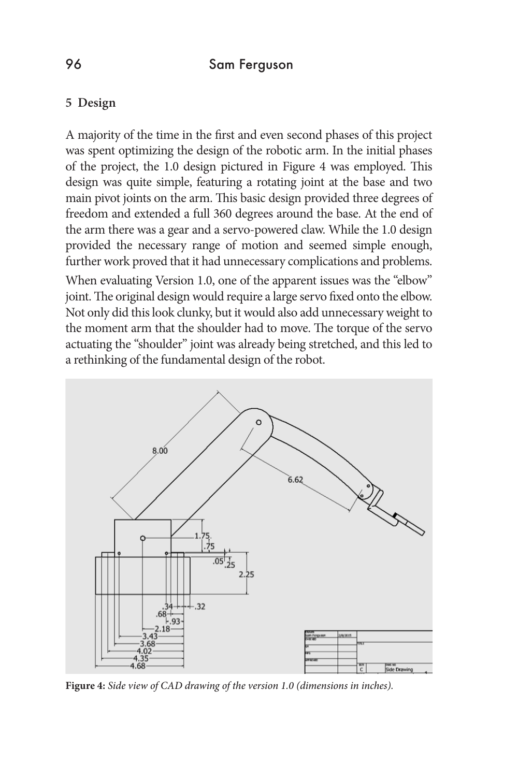## **5 Design**

A majority of the time in the first and even second phases of this project was spent optimizing the design of the robotic arm. In the initial phases of the project, the 1.0 design pictured in Figure 4 was employed. This design was quite simple, featuring a rotating joint at the base and two main pivot joints on the arm. This basic design provided three degrees of freedom and extended a full 360 degrees around the base. At the end of the arm there was a gear and a servo-powered claw. While the 1.0 design provided the necessary range of motion and seemed simple enough, further work proved that it had unnecessary complications and problems.

When evaluating Version 1.0, one of the apparent issues was the "elbow" joint. The original design would require a large servo fixed onto the elbow. Not only did this look clunky, but it would also add unnecessary weight to the moment arm that the shoulder had to move. The torque of the servo actuating the "shoulder" joint was already being stretched, and this led to a rethinking of the fundamental design of the robot.



**Figure 4:** *Side view of CAD drawing of the version 1.0 (dimensions in inches).*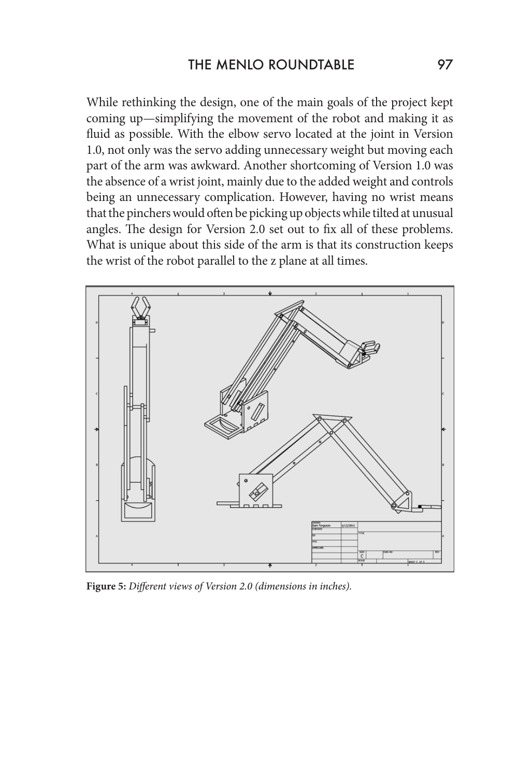While rethinking the design, one of the main goals of the project kept coming up—simplifying the movement of the robot and making it as fluid as possible. With the elbow servo located at the joint in Version 1.0, not only was the servo adding unnecessary weight but moving each part of the arm was awkward. Another shortcoming of Version 1.0 was the absence of a wrist joint, mainly due to the added weight and controls being an unnecessary complication. However, having no wrist means that the pinchers would often be picking up objects while tilted at unusual angles. The design for Version 2.0 set out to fix all of these problems. What is unique about this side of the arm is that its construction keeps the wrist of the robot parallel to the z plane at all times.



**Figure 5:** *Different views of Version 2.0 (dimensions in inches).*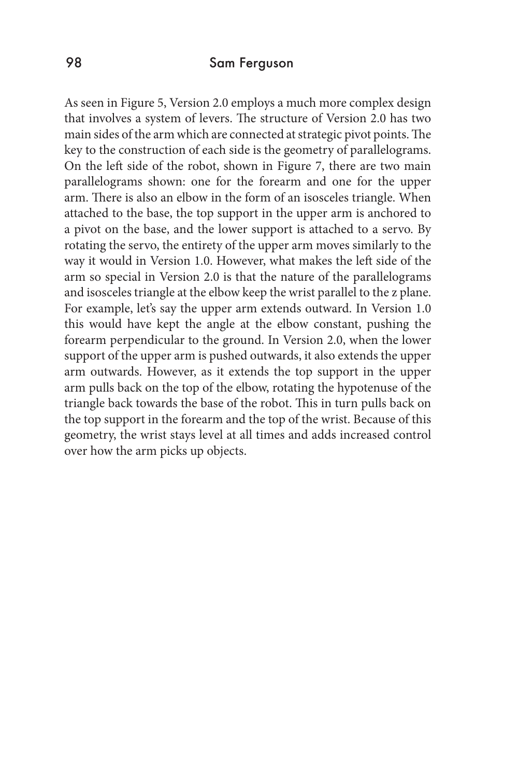As seen in Figure 5, Version 2.0 employs a much more complex design that involves a system of levers. The structure of Version 2.0 has two main sides of the arm which are connected at strategic pivot points. The key to the construction of each side is the geometry of parallelograms. On the left side of the robot, shown in Figure 7, there are two main parallelograms shown: one for the forearm and one for the upper arm. There is also an elbow in the form of an isosceles triangle. When attached to the base, the top support in the upper arm is anchored to a pivot on the base, and the lower support is attached to a servo. By rotating the servo, the entirety of the upper arm moves similarly to the way it would in Version 1.0. However, what makes the left side of the arm so special in Version 2.0 is that the nature of the parallelograms and isosceles triangle at the elbow keep the wrist parallel to the z plane. For example, let's say the upper arm extends outward. In Version 1.0 this would have kept the angle at the elbow constant, pushing the forearm perpendicular to the ground. In Version 2.0, when the lower support of the upper arm is pushed outwards, it also extends the upper arm outwards. However, as it extends the top support in the upper arm pulls back on the top of the elbow, rotating the hypotenuse of the triangle back towards the base of the robot. This in turn pulls back on the top support in the forearm and the top of the wrist. Because of this geometry, the wrist stays level at all times and adds increased control over how the arm picks up objects.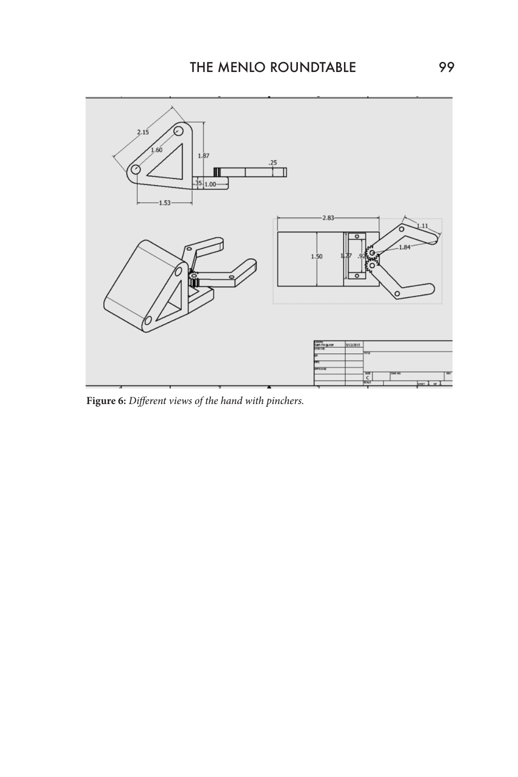

**Figure 6:** *Different views of the hand with pinchers.*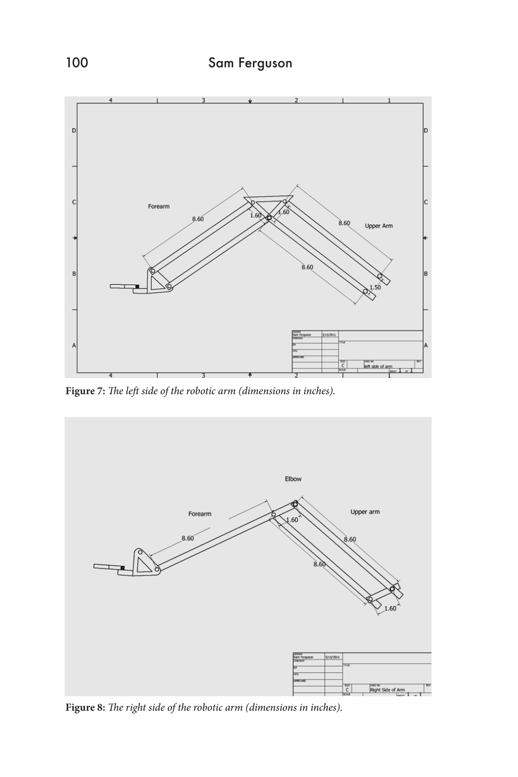

**Figure 7:** *The left side of the robotic arm (dimensions in inches).*



**Figure 8:** *The right side of the robotic arm (dimensions in inches).*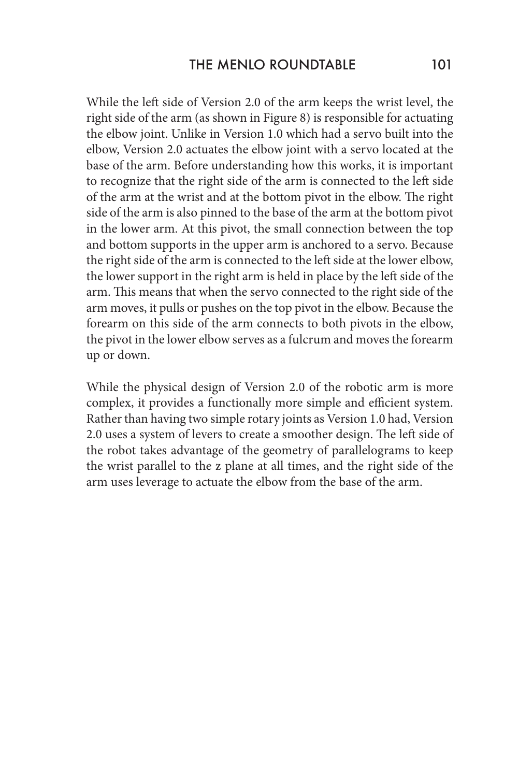While the left side of Version 2.0 of the arm keeps the wrist level, the right side of the arm (as shown in Figure 8) is responsible for actuating the elbow joint. Unlike in Version 1.0 which had a servo built into the elbow, Version 2.0 actuates the elbow joint with a servo located at the base of the arm. Before understanding how this works, it is important to recognize that the right side of the arm is connected to the left side of the arm at the wrist and at the bottom pivot in the elbow. The right side of the arm is also pinned to the base of the arm at the bottom pivot in the lower arm. At this pivot, the small connection between the top and bottom supports in the upper arm is anchored to a servo. Because the right side of the arm is connected to the left side at the lower elbow, the lower support in the right arm is held in place by the left side of the arm. This means that when the servo connected to the right side of the arm moves, it pulls or pushes on the top pivot in the elbow. Because the forearm on this side of the arm connects to both pivots in the elbow, the pivot in the lower elbow serves as a fulcrum and moves the forearm up or down.

While the physical design of Version 2.0 of the robotic arm is more complex, it provides a functionally more simple and efficient system. Rather than having two simple rotary joints as Version 1.0 had, Version 2.0 uses a system of levers to create a smoother design. The left side of the robot takes advantage of the geometry of parallelograms to keep the wrist parallel to the z plane at all times, and the right side of the arm uses leverage to actuate the elbow from the base of the arm.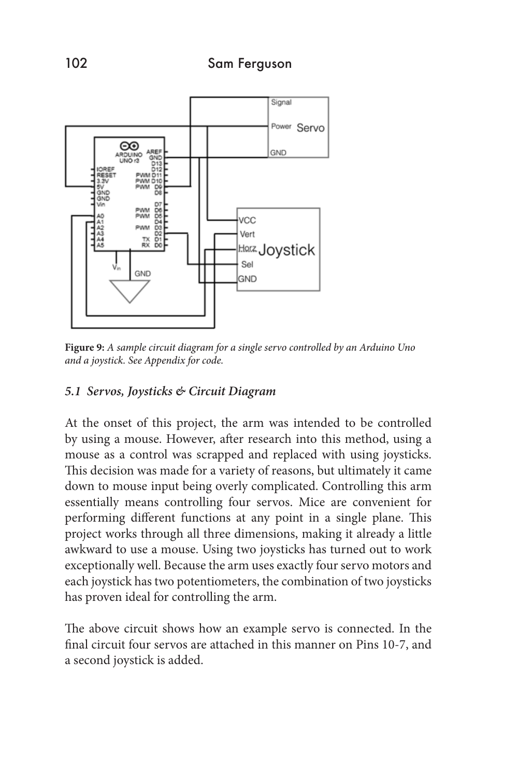

**Figure 9:** *A sample circuit diagram for a single servo controlled by an Arduino Uno and a joystick. See Appendix for code.*

### *5.1 Servos, Joysticks & Circuit Diagram*

At the onset of this project, the arm was intended to be controlled by using a mouse. However, after research into this method, using a mouse as a control was scrapped and replaced with using joysticks. This decision was made for a variety of reasons, but ultimately it came down to mouse input being overly complicated. Controlling this arm essentially means controlling four servos. Mice are convenient for performing different functions at any point in a single plane. This project works through all three dimensions, making it already a little awkward to use a mouse. Using two joysticks has turned out to work exceptionally well. Because the arm uses exactly four servo motors and each joystick has two potentiometers, the combination of two joysticks has proven ideal for controlling the arm.

The above circuit shows how an example servo is connected. In the final circuit four servos are attached in this manner on Pins 10-7, and a second joystick is added.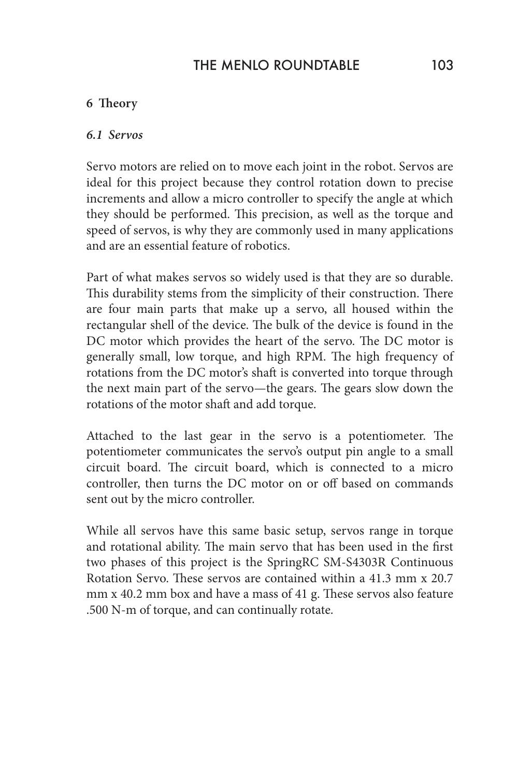# THE MENLO ROUNDTABLE 103

#### **6 Theory**

#### *6.1 Servos*

Servo motors are relied on to move each joint in the robot. Servos are ideal for this project because they control rotation down to precise increments and allow a micro controller to specify the angle at which they should be performed. This precision, as well as the torque and speed of servos, is why they are commonly used in many applications and are an essential feature of robotics.

Part of what makes servos so widely used is that they are so durable. This durability stems from the simplicity of their construction. There are four main parts that make up a servo, all housed within the rectangular shell of the device. The bulk of the device is found in the DC motor which provides the heart of the servo. The DC motor is generally small, low torque, and high RPM. The high frequency of rotations from the DC motor's shaft is converted into torque through the next main part of the servo—the gears. The gears slow down the rotations of the motor shaft and add torque.

Attached to the last gear in the servo is a potentiometer. The potentiometer communicates the servo's output pin angle to a small circuit board. The circuit board, which is connected to a micro controller, then turns the DC motor on or off based on commands sent out by the micro controller.

While all servos have this same basic setup, servos range in torque and rotational ability. The main servo that has been used in the first two phases of this project is the SpringRC SM-S4303R Continuous Rotation Servo. These servos are contained within a 41.3 mm x 20.7 mm x 40.2 mm box and have a mass of 41 g. These servos also feature .500 N-m of torque, and can continually rotate.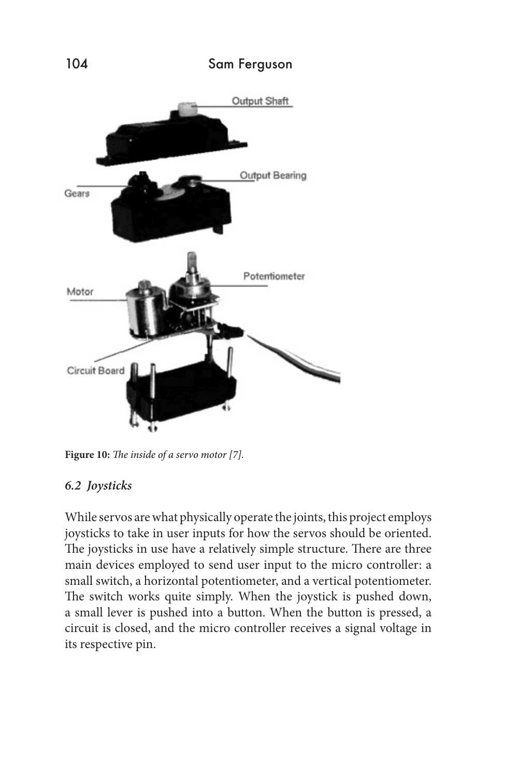

**Figure 10:** *The inside of a servo motor [7].*

#### *6.2 Joysticks*

While servos are what physically operate the joints, this project employs joysticks to take in user inputs for how the servos should be oriented. The joysticks in use have a relatively simple structure. There are three main devices employed to send user input to the micro controller: a small switch, a horizontal potentiometer, and a vertical potentiometer. The switch works quite simply. When the joystick is pushed down, a small lever is pushed into a button. When the button is pressed, a circuit is closed, and the micro controller receives a signal voltage in its respective pin.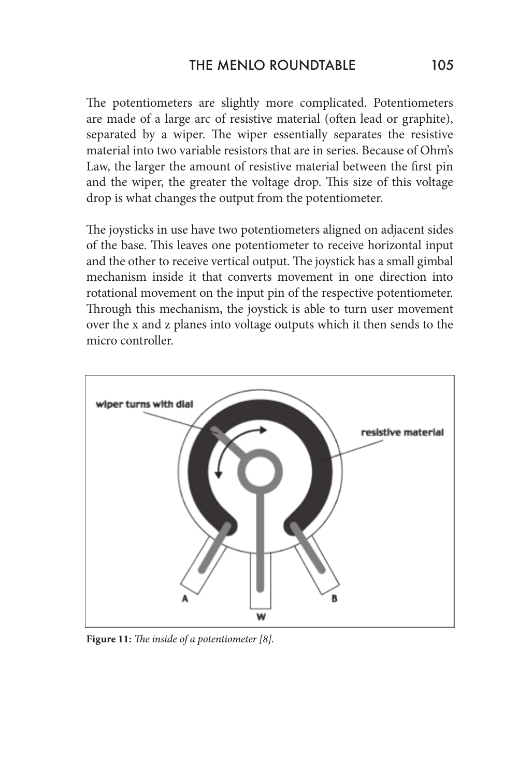The potentiometers are slightly more complicated. Potentiometers are made of a large arc of resistive material (often lead or graphite), separated by a wiper. The wiper essentially separates the resistive material into two variable resistors that are in series. Because of Ohm's Law, the larger the amount of resistive material between the first pin and the wiper, the greater the voltage drop. This size of this voltage drop is what changes the output from the potentiometer.

The joysticks in use have two potentiometers aligned on adjacent sides of the base. This leaves one potentiometer to receive horizontal input and the other to receive vertical output. The joystick has a small gimbal mechanism inside it that converts movement in one direction into rotational movement on the input pin of the respective potentiometer. Through this mechanism, the joystick is able to turn user movement over the x and z planes into voltage outputs which it then sends to the micro controller.



**Figure 11:** *The inside of a potentiometer [8].*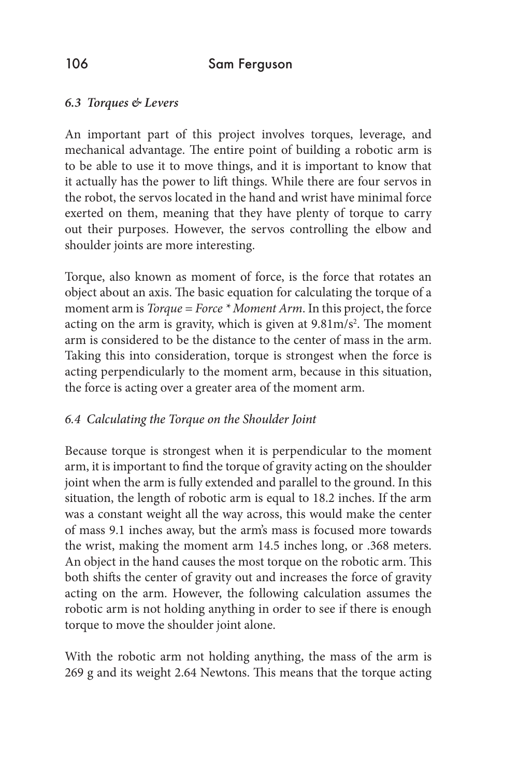## *6.3 Torques & Levers*

An important part of this project involves torques, leverage, and mechanical advantage. The entire point of building a robotic arm is to be able to use it to move things, and it is important to know that it actually has the power to lift things. While there are four servos in the robot, the servos located in the hand and wrist have minimal force exerted on them, meaning that they have plenty of torque to carry out their purposes. However, the servos controlling the elbow and shoulder joints are more interesting.

Torque, also known as moment of force, is the force that rotates an object about an axis. The basic equation for calculating the torque of a moment arm is *Torque = Force \* Moment Arm*. In this project, the force acting on the arm is gravity, which is given at  $9.81 \text{m/s}^2$ . The moment arm is considered to be the distance to the center of mass in the arm. Taking this into consideration, torque is strongest when the force is acting perpendicularly to the moment arm, because in this situation, the force is acting over a greater area of the moment arm.

#### *6.4 Calculating the Torque on the Shoulder Joint*

Because torque is strongest when it is perpendicular to the moment arm, it is important to find the torque of gravity acting on the shoulder joint when the arm is fully extended and parallel to the ground. In this situation, the length of robotic arm is equal to 18.2 inches. If the arm was a constant weight all the way across, this would make the center of mass 9.1 inches away, but the arm's mass is focused more towards the wrist, making the moment arm 14.5 inches long, or .368 meters. An object in the hand causes the most torque on the robotic arm. This both shifts the center of gravity out and increases the force of gravity acting on the arm. However, the following calculation assumes the robotic arm is not holding anything in order to see if there is enough torque to move the shoulder joint alone.

With the robotic arm not holding anything, the mass of the arm is 269 g and its weight 2.64 Newtons. This means that the torque acting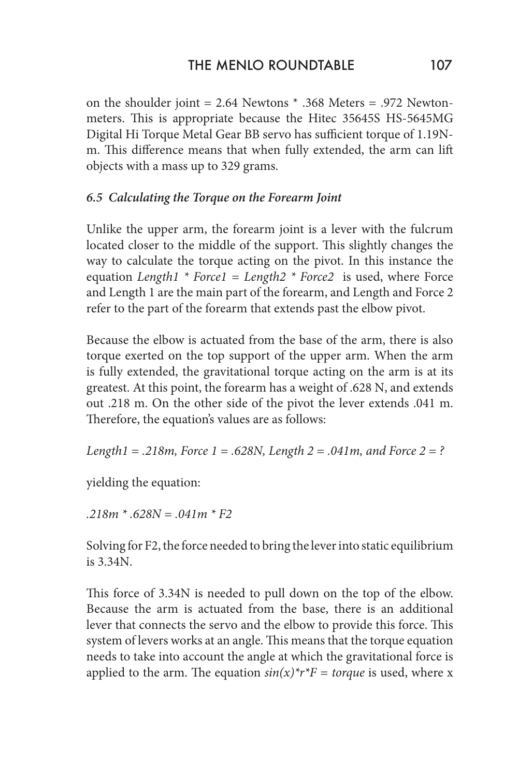on the shoulder joint = 2.64 Newtons \* .368 Meters = .972 Newtonmeters. This is appropriate because the Hitec 35645S HS-5645MG Digital Hi Torque Metal Gear BB servo has sufficient torque of 1.19Nm. This difference means that when fully extended, the arm can lift objects with a mass up to 329 grams.

## *6.5 Calculating the Torque on the Forearm Joint*

Unlike the upper arm, the forearm joint is a lever with the fulcrum located closer to the middle of the support. This slightly changes the way to calculate the torque acting on the pivot. In this instance the equation *Length1 \* Force1 = Length2 \* Force2* is used, where Force and Length 1 are the main part of the forearm, and Length and Force 2 refer to the part of the forearm that extends past the elbow pivot.

Because the elbow is actuated from the base of the arm, there is also torque exerted on the top support of the upper arm. When the arm is fully extended, the gravitational torque acting on the arm is at its greatest. At this point, the forearm has a weight of .628 N, and extends out .218 m. On the other side of the pivot the lever extends .041 m. Therefore, the equation's values are as follows:

*Length1 = .218m, Force 1 = .628N, Length 2 = .041m, and Force 2 = ?*

yielding the equation:

*.218m \* .628N = .041m \* F2*

Solving for F2, the force needed to bring the lever into static equilibrium is 3.34N.

This force of 3.34N is needed to pull down on the top of the elbow. Because the arm is actuated from the base, there is an additional lever that connects the servo and the elbow to provide this force. This system of levers works at an angle. This means that the torque equation needs to take into account the angle at which the gravitational force is applied to the arm. The equation  $sin(x)*r*F = torque$  is used, where x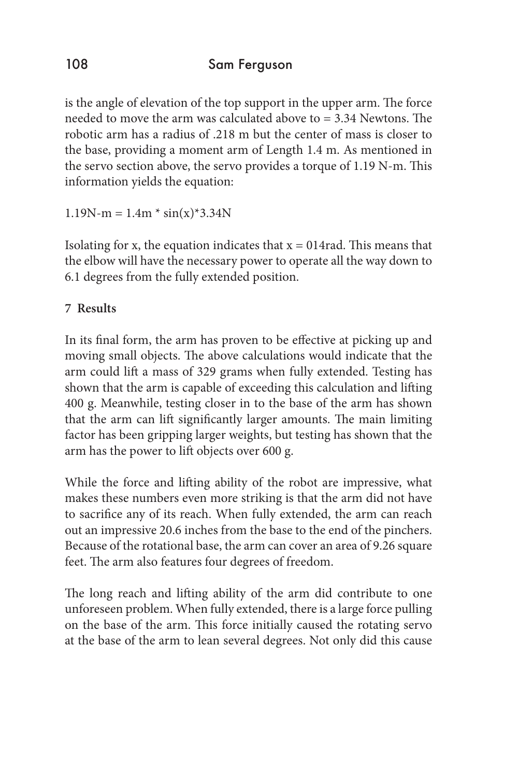is the angle of elevation of the top support in the upper arm. The force needed to move the arm was calculated above to = 3.34 Newtons. The robotic arm has a radius of .218 m but the center of mass is closer to the base, providing a moment arm of Length 1.4 m. As mentioned in the servo section above, the servo provides a torque of 1.19 N-m. This information yields the equation:

 $1.19N-m = 1.4m * sin(x)*3.34N$ 

Isolating for x, the equation indicates that  $x = 014$  rad. This means that the elbow will have the necessary power to operate all the way down to 6.1 degrees from the fully extended position.

# **7 Results**

In its final form, the arm has proven to be effective at picking up and moving small objects. The above calculations would indicate that the arm could lift a mass of 329 grams when fully extended. Testing has shown that the arm is capable of exceeding this calculation and lifting 400 g. Meanwhile, testing closer in to the base of the arm has shown that the arm can lift significantly larger amounts. The main limiting factor has been gripping larger weights, but testing has shown that the arm has the power to lift objects over 600 g.

While the force and lifting ability of the robot are impressive, what makes these numbers even more striking is that the arm did not have to sacrifice any of its reach. When fully extended, the arm can reach out an impressive 20.6 inches from the base to the end of the pinchers. Because of the rotational base, the arm can cover an area of 9.26 square feet. The arm also features four degrees of freedom.

The long reach and lifting ability of the arm did contribute to one unforeseen problem. When fully extended, there is a large force pulling on the base of the arm. This force initially caused the rotating servo at the base of the arm to lean several degrees. Not only did this cause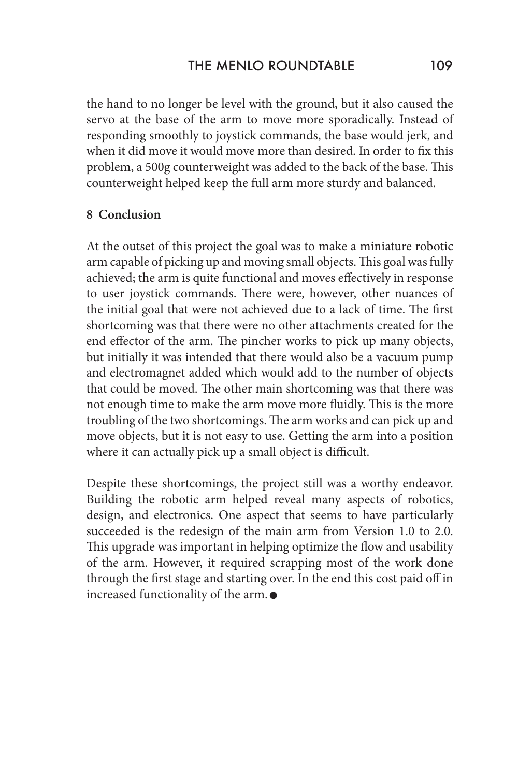the hand to no longer be level with the ground, but it also caused the servo at the base of the arm to move more sporadically. Instead of responding smoothly to joystick commands, the base would jerk, and when it did move it would move more than desired. In order to fix this problem, a 500g counterweight was added to the back of the base. This counterweight helped keep the full arm more sturdy and balanced.

#### **8 Conclusion**

At the outset of this project the goal was to make a miniature robotic arm capable of picking up and moving small objects. This goal was fully achieved; the arm is quite functional and moves effectively in response to user joystick commands. There were, however, other nuances of the initial goal that were not achieved due to a lack of time. The first shortcoming was that there were no other attachments created for the end effector of the arm. The pincher works to pick up many objects, but initially it was intended that there would also be a vacuum pump and electromagnet added which would add to the number of objects that could be moved. The other main shortcoming was that there was not enough time to make the arm move more fluidly. This is the more troubling of the two shortcomings. The arm works and can pick up and move objects, but it is not easy to use. Getting the arm into a position where it can actually pick up a small object is difficult.

Despite these shortcomings, the project still was a worthy endeavor. Building the robotic arm helped reveal many aspects of robotics, design, and electronics. One aspect that seems to have particularly succeeded is the redesign of the main arm from Version 1.0 to 2.0. This upgrade was important in helping optimize the flow and usability of the arm. However, it required scrapping most of the work done through the first stage and starting over. In the end this cost paid off in increased functionality of the arm.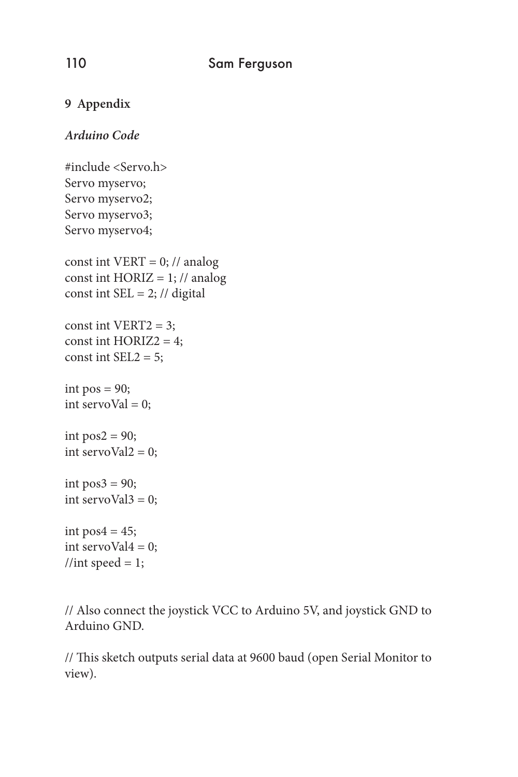## **9 Appendix**

## *Arduino Code*

#include <Servo.h> Servo myservo; Servo myservo2; Servo myservo3; Servo myservo4; const int VERT =  $0$ ; // analog const int  $HORIZ = 1$ ; // analog const int  $SEL = 2$ ; // digital const int VERT2 = 3; const int  $HORIZ2 = 4$ ; const int  $SEL2 = 5$ ; int  $pos = 90$ ; int servoVal =  $0$ ; int  $pos2 = 90$ ; int servoVal $2 = 0$ ; int  $pos3 = 90$ ; int servoVal $3 = 0$ ; int pos $4 = 45$ ; int servoVal $4 = 0$ ; //int speed = 1;

// Also connect the joystick VCC to Arduino 5V, and joystick GND to Arduino GND.

// This sketch outputs serial data at 9600 baud (open Serial Monitor to view).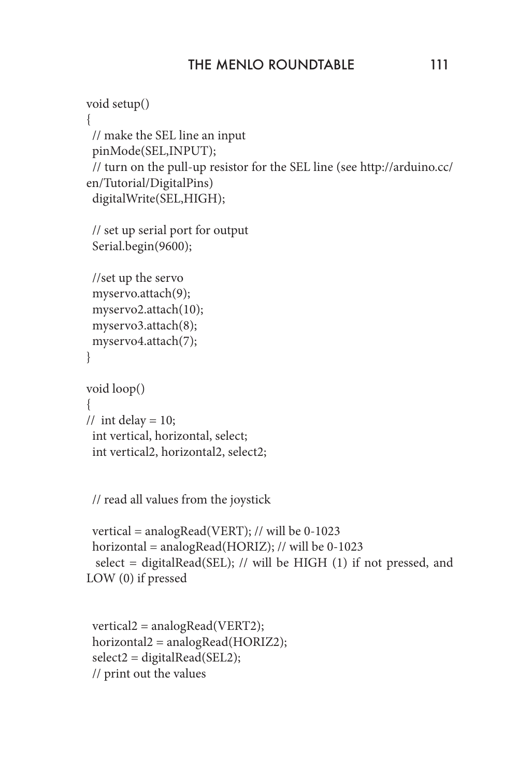```
void setup()
{
  // make the SEL line an input
  pinMode(SEL,INPUT);
  // turn on the pull-up resistor for the SEL line (see http://arduino.cc/
en/Tutorial/DigitalPins)
  digitalWrite(SEL,HIGH);
  // set up serial port for output
  Serial.begin(9600);
  //set up the servo
  myservo.attach(9);
  myservo2.attach(10);
  myservo3.attach(8);
  myservo4.attach(7);
}
void loop() 
{
// int delay = 10;
  int vertical, horizontal, select;
  int vertical2, horizontal2, select2;
```
// read all values from the joystick

```
 vertical = analogRead(VERT); // will be 0-1023
  horizontal = analogRead(HORIZ); // will be 0-1023
  select = digitalRead(SEL); // will be HIGH (1) if not pressed, and 
LOW (0) if pressed
```

```
 vertical2 = analogRead(VERT2);
 horizontal2 = analogRead(HORIZ2);
 select2 = digitalRead(SEL2);
 // print out the values
```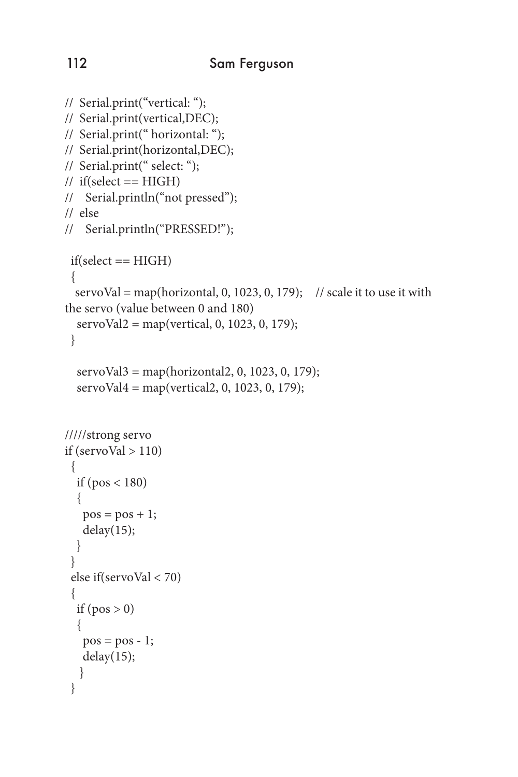```
// Serial.print("vertical: ");
// Serial.print(vertical,DEC);
// Serial.print(" horizontal: ");
// Serial.print(horizontal,DEC);
// Serial.print(" select: ");
\frac{1}{\sqrt{1}} if(select == HIGH)
// Serial.println("not pressed");
// else
// Serial.println("PRESSED!");
  if(select == HIGH)
  {
  servoVal = map(horizontal, 0, 1023, 0, 179); // scale it to use it with
the servo (value between 0 and 180) 
  servoVal2 = map(vertical, 0, 1023, 0, 179);
  }
   servoVal3 = map(horizontal2, 0, 1023, 0, 179);
  servoVal4 = \text{map}(vertical2, 0, 1023, 0, 179);/////strong servo
if (servoVal > 110)
  {
  if (pos < 180) {
   pos = pos + 1;delay(15); } 
  }
  else if(servoVal < 70)
 {
  if (pos > 0) {
   pos = pos - 1; delay(15);
    } 
  }
```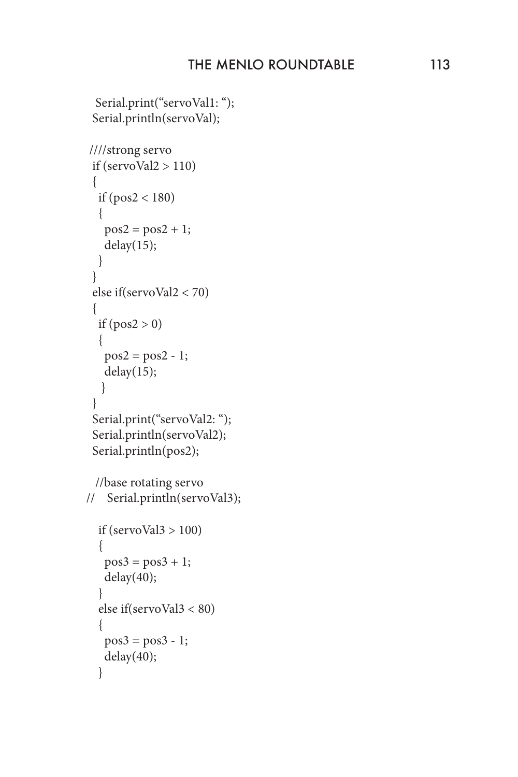```
Serial.print("servoVal1: ");
  Serial.println(servoVal);
 ////strong servo 
 if (servoVal2 > 110)
 \{if (pos2 < 180) {
   pos2 = pos2 + 1; delay(15);
   } 
  }
  else if(servoVal2 < 70)
  {
  if (pos2 > 0)\{pos2 = pos2 - 1; delay(15);
    } 
  }
 Serial.print("servoVal2: ");
  Serial.println(servoVal2);
  Serial.println(pos2);
  //base rotating servo
// Serial.println(servoVal3);
  if (servoVal3 > 100)
   {
   pos3 = pos3 + 1; delay(40);
 }
   else if(servoVal3 < 80)
\{pos3 = pos3 - 1; delay(40);
   }
```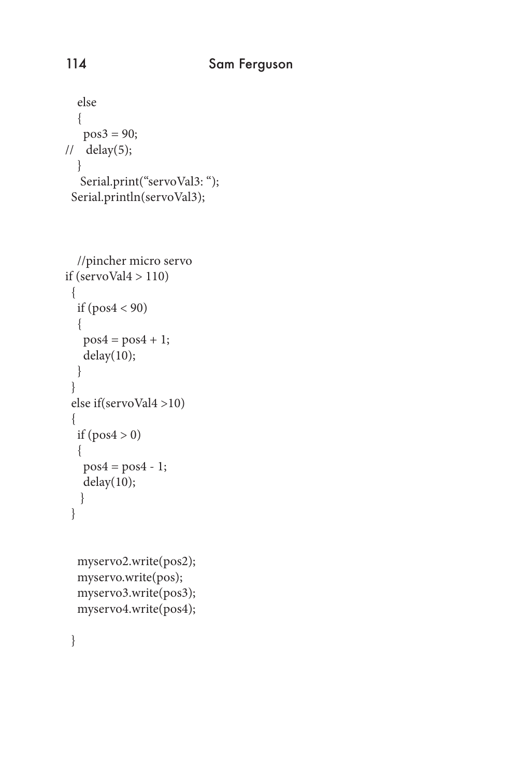```
 else
   {
   pos3 = 90;11 delay(5);
   }
   Serial.print("servoVal3: ");
  Serial.println(servoVal3);
```

```
 //pincher micro servo
if (servoVal4 > 110)
  {
   if (pos4 < 90)
\{pos4 = pos4 + 1; delay(10);
   } 
  }
  else if(servoVal4 >10)
  {
  if (pos4 > 0) {
   pos4 = pos4 - 1; delay(10);
    } 
  }
```

```
 myservo2.write(pos2);
 myservo.write(pos);
 myservo3.write(pos3); 
 myservo4.write(pos4);
```
}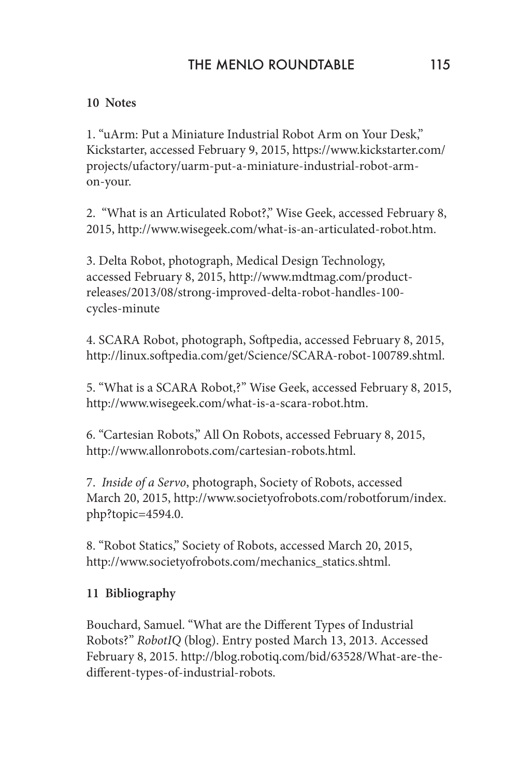### **10 Notes**

1. "uArm: Put a Miniature Industrial Robot Arm on Your Desk," Kickstarter, accessed February 9, 2015, https://www.kickstarter.com/ projects/ufactory/uarm-put-a-miniature-industrial-robot-armon-your.

2. "What is an Articulated Robot?," Wise Geek, accessed February 8, 2015, http://www.wisegeek.com/what-is-an-articulated-robot.htm.

3. Delta Robot, photograph, Medical Design Technology, accessed February 8, 2015, http://www.mdtmag.com/productreleases/2013/08/strong-improved-delta-robot-handles-100 cycles-minute

4. SCARA Robot, photograph, Softpedia, accessed February 8, 2015, http://linux.softpedia.com/get/Science/SCARA-robot-100789.shtml.

5. "What is a SCARA Robot,?" Wise Geek, accessed February 8, 2015, http://www.wisegeek.com/what-is-a-scara-robot.htm.

6. "Cartesian Robots," All On Robots, accessed February 8, 2015, http://www.allonrobots.com/cartesian-robots.html.

7. *Inside of a Servo*, photograph, Society of Robots, accessed March 20, 2015, http://www.societyofrobots.com/robotforum/index. php?topic=4594.0.

8. "Robot Statics," Society of Robots, accessed March 20, 2015, http://www.societyofrobots.com/mechanics\_statics.shtml.

## **11 Bibliography**

Bouchard, Samuel. "What are the Different Types of Industrial Robots?" *RobotIQ* (blog). Entry posted March 13, 2013. Accessed February 8, 2015. http://blog.robotiq.com/bid/63528/What-are-thedifferent-types-of-industrial-robots.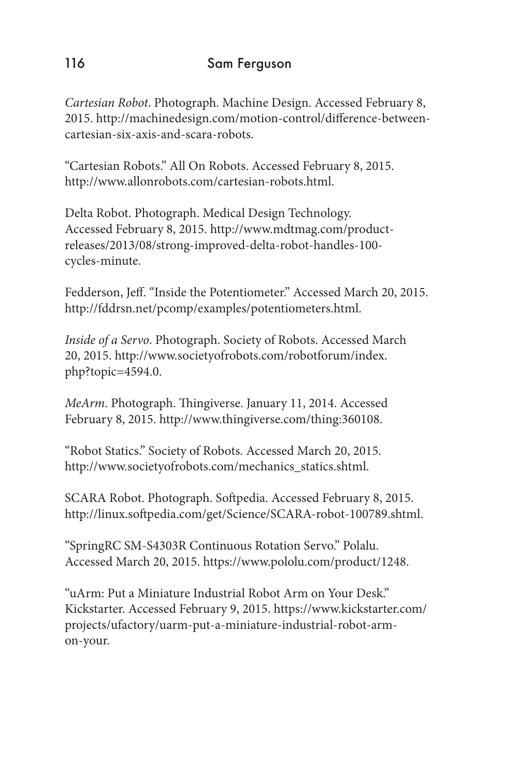*Cartesian Robot*. Photograph. Machine Design. Accessed February 8, 2015. http://machinedesign.com/motion-control/difference-betweencartesian-six-axis-and-scara-robots.

"Cartesian Robots." All On Robots. Accessed February 8, 2015. http://www.allonrobots.com/cartesian-robots.html.

Delta Robot. Photograph. Medical Design Technology. Accessed February 8, 2015. http://www.mdtmag.com/productreleases/2013/08/strong-improved-delta-robot-handles-100 cycles-minute.

Fedderson, Jeff. "Inside the Potentiometer." Accessed March 20, 2015. http://fddrsn.net/pcomp/examples/potentiometers.html.

*Inside of a Servo*. Photograph. Society of Robots. Accessed March 20, 2015. http://www.societyofrobots.com/robotforum/index. php?topic=4594.0.

*MeArm*. Photograph. Thingiverse. January 11, 2014. Accessed February 8, 2015. http://www.thingiverse.com/thing:360108.

"Robot Statics." Society of Robots. Accessed March 20, 2015. http://www.societyofrobots.com/mechanics\_statics.shtml.

SCARA Robot. Photograph. Softpedia. Accessed February 8, 2015. http://linux.softpedia.com/get/Science/SCARA-robot-100789.shtml.

"SpringRC SM-S4303R Continuous Rotation Servo." Polalu. Accessed March 20, 2015. https://www.pololu.com/product/1248.

"uArm: Put a Miniature Industrial Robot Arm on Your Desk." Kickstarter. Accessed February 9, 2015. https://www.kickstarter.com/ projects/ufactory/uarm-put-a-miniature-industrial-robot-armon-your.